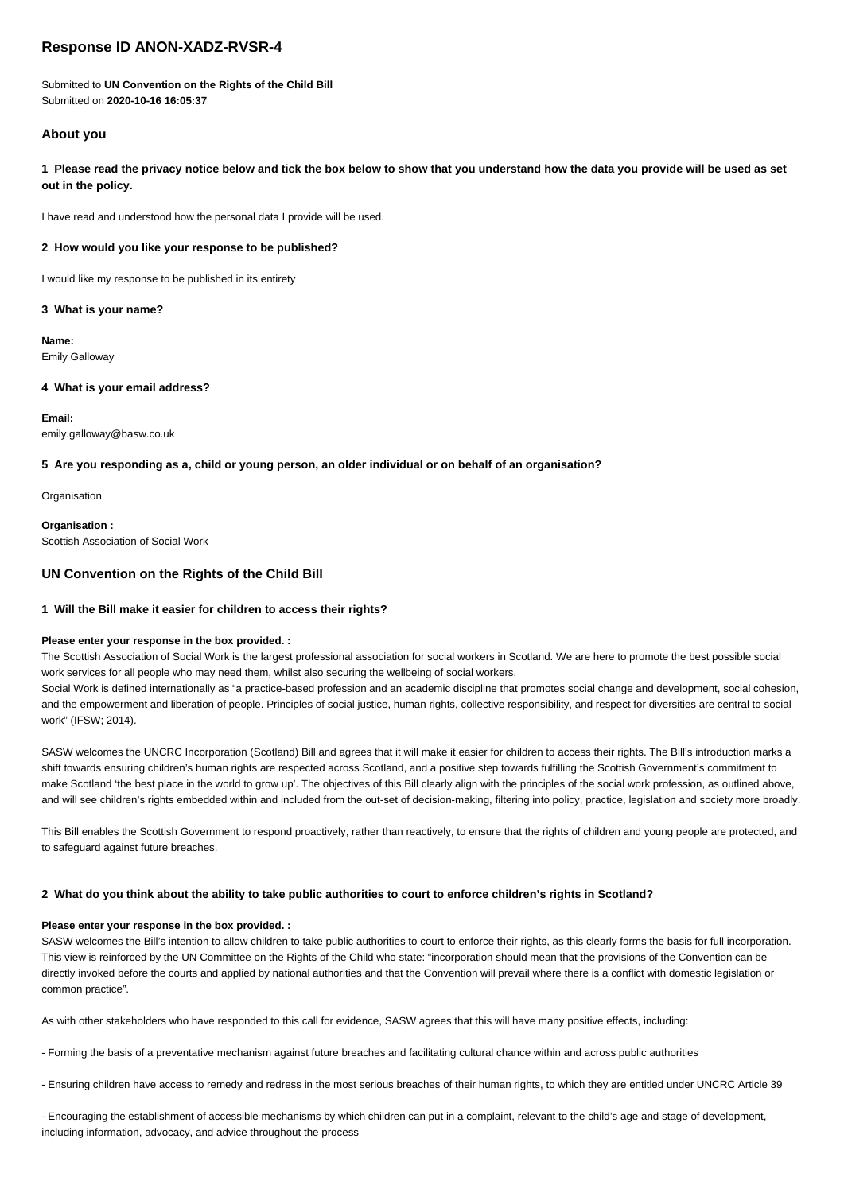# **Response ID ANON-XADZ-RVSR-4**

Submitted to **UN Convention on the Rights of the Child Bill** Submitted on **2020-10-16 16:05:37**

## **About you**

**1 Please read the privacy notice below and tick the box below to show that you understand how the data you provide will be used as set out in the policy.**

I have read and understood how the personal data I provide will be used.

### **2 How would you like your response to be published?**

I would like my response to be published in its entirety

### **3 What is your name?**

**Name:** Emily Galloway

### **4 What is your email address?**

**Email:** emily.galloway@basw.co.uk

### **5 Are you responding as a, child or young person, an older individual or on behalf of an organisation?**

**Organisation** 

**Organisation :** Scottish Association of Social Work

## **UN Convention on the Rights of the Child Bill**

### **1 Will the Bill make it easier for children to access their rights?**

### **Please enter your response in the box provided. :**

The Scottish Association of Social Work is the largest professional association for social workers in Scotland. We are here to promote the best possible social work services for all people who may need them, whilst also securing the wellbeing of social workers.

Social Work is defined internationally as "a practice-based profession and an academic discipline that promotes social change and development, social cohesion, and the empowerment and liberation of people. Principles of social justice, human rights, collective responsibility, and respect for diversities are central to social work" (IFSW; 2014).

SASW welcomes the UNCRC Incorporation (Scotland) Bill and agrees that it will make it easier for children to access their rights. The Bill's introduction marks a shift towards ensuring children's human rights are respected across Scotland, and a positive step towards fulfilling the Scottish Government's commitment to make Scotland 'the best place in the world to grow up'. The objectives of this Bill clearly align with the principles of the social work profession, as outlined above, and will see children's rights embedded within and included from the out-set of decision-making, filtering into policy, practice, legislation and society more broadly.

This Bill enables the Scottish Government to respond proactively, rather than reactively, to ensure that the rights of children and young people are protected, and to safeguard against future breaches.

## **2 What do you think about the ability to take public authorities to court to enforce children's rights in Scotland?**

### **Please enter your response in the box provided. :**

SASW welcomes the Bill's intention to allow children to take public authorities to court to enforce their rights, as this clearly forms the basis for full incorporation. This view is reinforced by the UN Committee on the Rights of the Child who state: "incorporation should mean that the provisions of the Convention can be directly invoked before the courts and applied by national authorities and that the Convention will prevail where there is a conflict with domestic legislation or common practice".

As with other stakeholders who have responded to this call for evidence, SASW agrees that this will have many positive effects, including:

- Forming the basis of a preventative mechanism against future breaches and facilitating cultural chance within and across public authorities

- Ensuring children have access to remedy and redress in the most serious breaches of their human rights, to which they are entitled under UNCRC Article 39

- Encouraging the establishment of accessible mechanisms by which children can put in a complaint, relevant to the child's age and stage of development, including information, advocacy, and advice throughout the process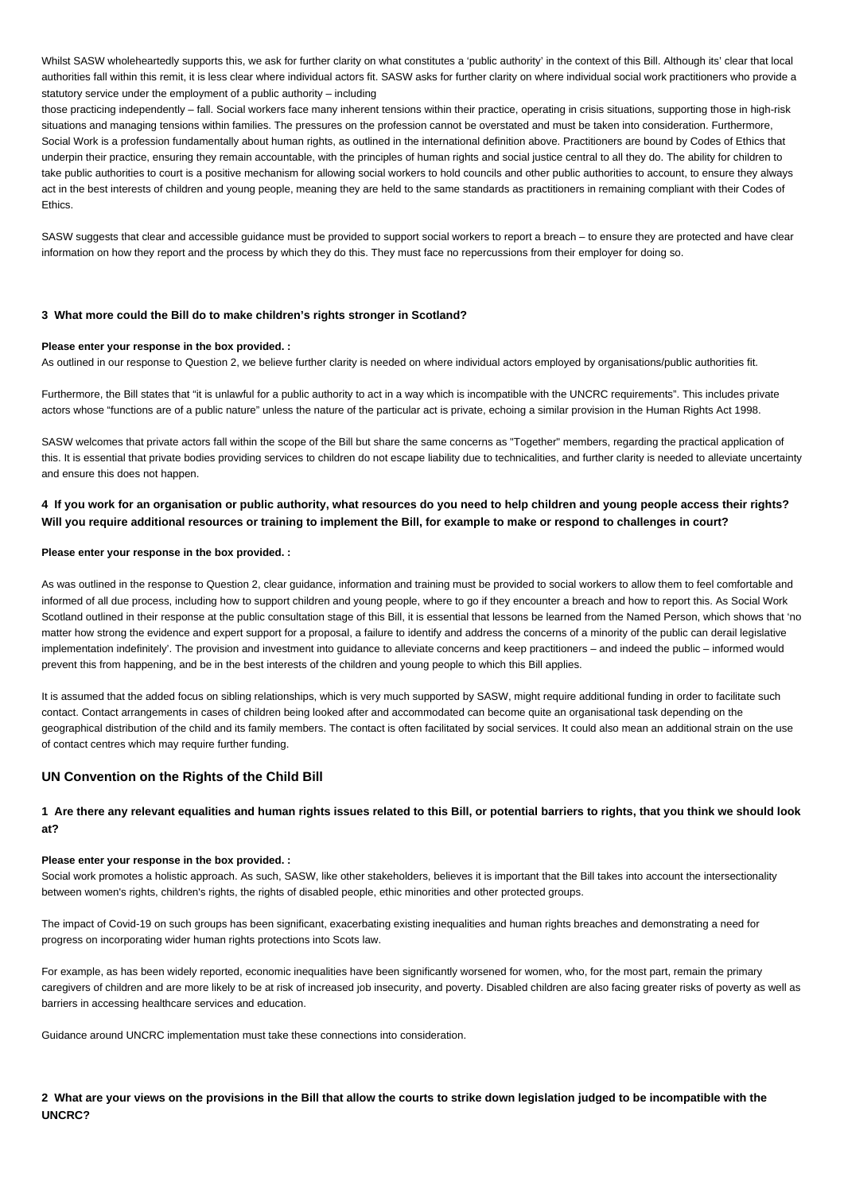Whilst SASW wholeheartedly supports this, we ask for further clarity on what constitutes a 'public authority' in the context of this Bill. Although its' clear that local authorities fall within this remit, it is less clear where individual actors fit. SASW asks for further clarity on where individual social work practitioners who provide a statutory service under the employment of a public authority – including

those practicing independently – fall. Social workers face many inherent tensions within their practice, operating in crisis situations, supporting those in high-risk situations and managing tensions within families. The pressures on the profession cannot be overstated and must be taken into consideration. Furthermore, Social Work is a profession fundamentally about human rights, as outlined in the international definition above. Practitioners are bound by Codes of Ethics that underpin their practice, ensuring they remain accountable, with the principles of human rights and social justice central to all they do. The ability for children to take public authorities to court is a positive mechanism for allowing social workers to hold councils and other public authorities to account, to ensure they always act in the best interests of children and young people, meaning they are held to the same standards as practitioners in remaining compliant with their Codes of **Ethics** 

SASW suggests that clear and accessible guidance must be provided to support social workers to report a breach – to ensure they are protected and have clear information on how they report and the process by which they do this. They must face no repercussions from their employer for doing so.

#### **3 What more could the Bill do to make children's rights stronger in Scotland?**

### **Please enter your response in the box provided. :**

As outlined in our response to Question 2, we believe further clarity is needed on where individual actors employed by organisations/public authorities fit.

Furthermore, the Bill states that "it is unlawful for a public authority to act in a way which is incompatible with the UNCRC requirements". This includes private actors whose "functions are of a public nature" unless the nature of the particular act is private, echoing a similar provision in the Human Rights Act 1998.

SASW welcomes that private actors fall within the scope of the Bill but share the same concerns as "Together" members, regarding the practical application of this. It is essential that private bodies providing services to children do not escape liability due to technicalities, and further clarity is needed to alleviate uncertainty and ensure this does not happen.

## **4 If you work for an organisation or public authority, what resources do you need to help children and young people access their rights? Will you require additional resources or training to implement the Bill, for example to make or respond to challenges in court?**

#### **Please enter your response in the box provided. :**

As was outlined in the response to Question 2, clear guidance, information and training must be provided to social workers to allow them to feel comfortable and informed of all due process, including how to support children and young people, where to go if they encounter a breach and how to report this. As Social Work Scotland outlined in their response at the public consultation stage of this Bill, it is essential that lessons be learned from the Named Person, which shows that 'no matter how strong the evidence and expert support for a proposal, a failure to identify and address the concerns of a minority of the public can derail legislative implementation indefinitely'. The provision and investment into guidance to alleviate concerns and keep practitioners – and indeed the public – informed would prevent this from happening, and be in the best interests of the children and young people to which this Bill applies.

It is assumed that the added focus on sibling relationships, which is very much supported by SASW, might require additional funding in order to facilitate such contact. Contact arrangements in cases of children being looked after and accommodated can become quite an organisational task depending on the geographical distribution of the child and its family members. The contact is often facilitated by social services. It could also mean an additional strain on the use of contact centres which may require further funding.

### **UN Convention on the Rights of the Child Bill**

## **1 Are there any relevant equalities and human rights issues related to this Bill, or potential barriers to rights, that you think we should look at?**

#### **Please enter your response in the box provided. :**

Social work promotes a holistic approach. As such, SASW, like other stakeholders, believes it is important that the Bill takes into account the intersectionality between women's rights, children's rights, the rights of disabled people, ethic minorities and other protected groups.

The impact of Covid-19 on such groups has been significant, exacerbating existing inequalities and human rights breaches and demonstrating a need for progress on incorporating wider human rights protections into Scots law.

For example, as has been widely reported, economic inequalities have been significantly worsened for women, who, for the most part, remain the primary caregivers of children and are more likely to be at risk of increased job insecurity, and poverty. Disabled children are also facing greater risks of poverty as well as barriers in accessing healthcare services and education.

Guidance around UNCRC implementation must take these connections into consideration.

**2 What are your views on the provisions in the Bill that allow the courts to strike down legislation judged to be incompatible with the UNCRC?**